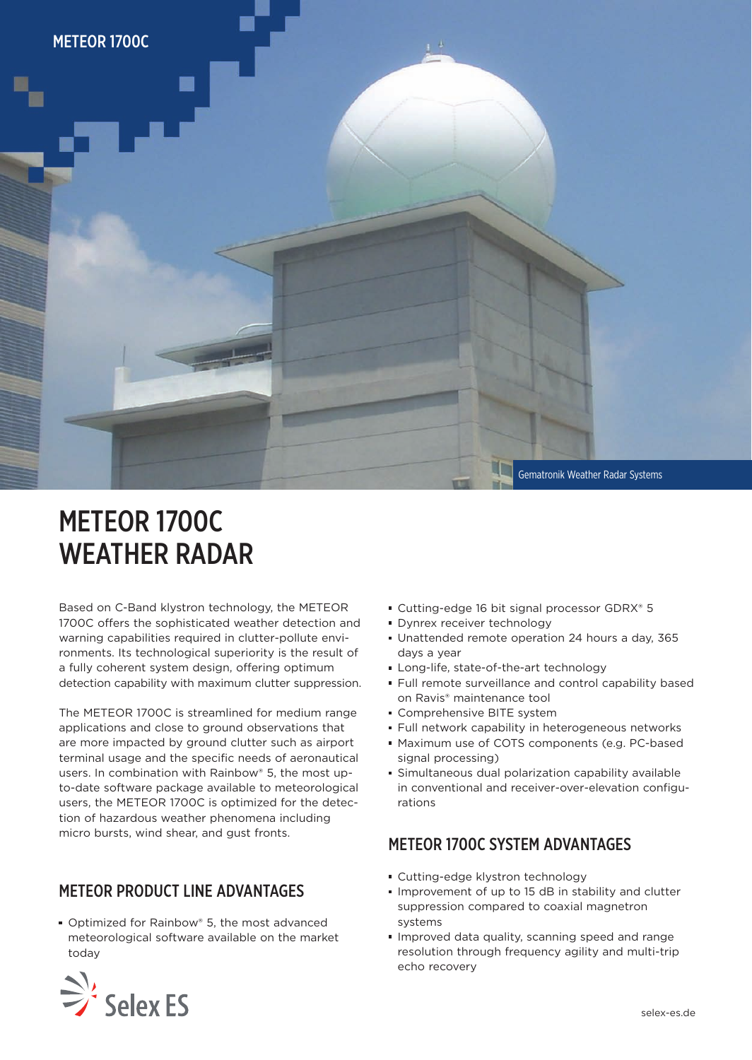

# METEOR 1700C WEATHER RADAR

Based on C-Band klystron technology, the METEOR 1700C offers the sophisticated weather detection and warning capabilities required in clutter-pollute environments. Its technological superiority is the result of a fully coherent system design, offering optimum detection capability with maximum clutter suppression.

The METEOR 1700C is streamlined for medium range applications and close to ground observations that are more impacted by ground clutter such as airport terminal usage and the specific needs of aeronautical users. In combination with Rainbow® 5, the most upto-date software package available to meteorological users, the METEOR 1700C is optimized for the detection of hazardous weather phenomena including micro bursts, wind shear, and gust fronts.

### METEOR PRODUCT LINE ADVANTAGES

■ Optimized for Rainbow® 5, the most advanced meteorological software available on the market today



- **Dynrex receiver technology**
- Unattended remote operation 24 hours a day, 365 days a year
- Long-life, state-of-the-art technology
- Full remote surveillance and control capability based on Ravis® maintenance tool
- Comprehensive BITE system
- **Full network capability in heterogeneous networks**
- Maximum use of COTS components (e.g. PC-based signal processing)
- Simultaneous dual polarization capability available in conventional and receiver-over-elevation configurations

#### METEOR 1700C SYSTEM ADVANTAGES

- Cutting-edge klystron technology
- Improvement of up to 15 dB in stability and clutter suppression compared to coaxial magnetron systems
- **Improved data quality, scanning speed and range** resolution through frequency agility and multi-trip echo recovery